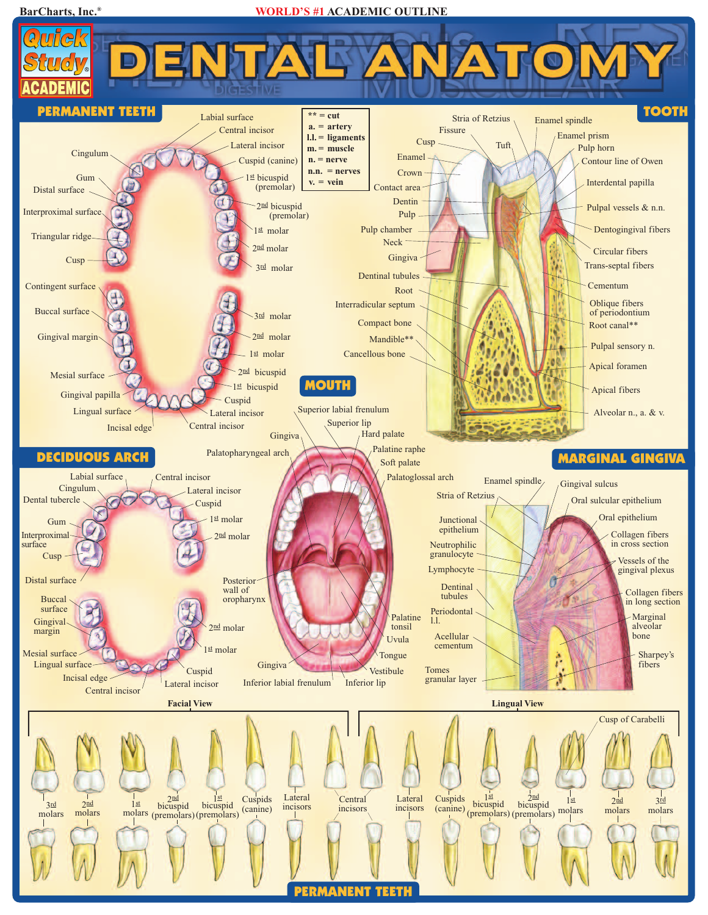